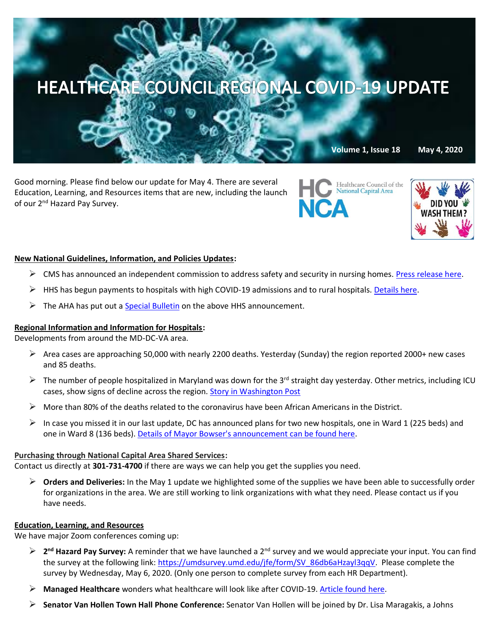# HEALTHCARE COUNCIL REGIONAL COVID-19 UPDATE

**Volume 1, Issue 18 May 4, 2020**

Good morning. Please find below our update for May 4. There are several Education, Learning, and Resources items that are new, including the launch of our 2<sup>nd</sup> Hazard Pay Survey.





### **New National Guidelines, Information, and Policies Updates:**

- $\triangleright$  CMS has announced an independent commission to address safety and security in nursing homes. [Press release here.](https://www.cms.gov/newsroom/press-releases/cms-announces-independent-commission-address-safety-and-quality-nursing-homes)
- $\triangleright$  HHS has begun payments to hospitals with high COVID-19 admissions and to rural hospitals[. Details here.](https://content.govdelivery.com/accounts/USCMSMEDICAID/bulletins/2898b36)
- $\triangleright$  The AHA has put out a [Special Bulletin](https://www.aha.org/special-bulletin/2020-05-01-special-bulletin-hhs-announces-distribution-funds-hospitals-high-covid) on the above HHS announcement.

#### **Regional Information and Information for Hospitals:**

Developments from around the MD-DC-VA area.

- $\triangleright$  Area cases are approaching 50,000 with nearly 2200 deaths. Yesterday (Sunday) the region reported 2000+ new cases and 85 deaths.
- $\triangleright$  The number of people hospitalized in Maryland was down for the 3<sup>rd</sup> straight day yesterday. Other metrics, including ICU cases, show signs of decline across the region. [Story in Washington Post](https://www.washingtonpost.com/local/reopening-dc-maryland-and-virginia-what-the-latest-metrics-tell-us/2020/05/03/0b50a6e0-8bbe-11ea-ac8a-fe9b8088e101_story.html)
- $\triangleright$  More than 80% of the deaths related to the coronavirus have been African Americans in the District.
- $\triangleright$  In case you missed it in our last update, DC has announced plans for two new hospitals, one in Ward 1 (225 beds) and one in Ward 8 (136 beds). [Details of Mayor Bowser's announcement can be found here.](https://www.nbcwashington.com/news/health/dc-announces-plans-for-2-new-hospitals-in-wards-1-and-8/2288992/)

#### **Purchasing through National Capital Area Shared Services:**

Contact us directly at **301-731-4700** if there are ways we can help you get the supplies you need.

➢ **Orders and Deliveries:** In the May 1 update we highlighted some of the supplies we have been able to successfully order for organizations in the area. We are still working to link organizations with what they need. Please contact us if you have needs.

#### **Education, Learning, and Resources**

We have major Zoom conferences coming up:

- ➢ **2 nd Hazard Pay Survey:** A reminder that we have launched a 2nd survey and we would appreciate your input. You can find the survey at the following link: [https://umdsurvey.umd.edu/jfe/form/SV\\_86db6aHzayl3qqV.](https://umdsurvey.umd.edu/jfe/form/SV_86db6aHzayl3qqV) Please complete the survey by Wednesday, May 6, 2020. (Only one person to complete survey from each HR Department).
- ➢ **Managed Healthcare** wonders what healthcare will look like after COVID-19. [Article found here.](https://www.managedhealthcareexecutive.com/news/what-will-post-covid-healthcare-look?rememberme=1&elq_mid=11835&elq_cid=871705&GUID=1C6DDF6D-6586-4FA8-A3D7-7F7A9F20DB30)
- ➢ **Senator Van Hollen Town Hall Phone Conference:** Senator Van Hollen will be joined by Dr. Lisa Maragakis, a Johns